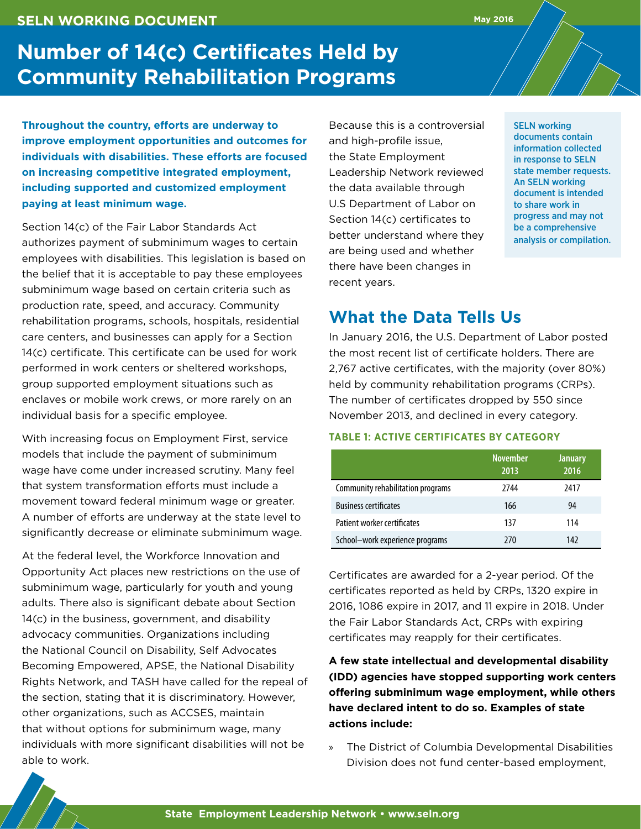### **SELN WORKING DOCUMENT**

# **Number of 14(c) Certificates Held by Community Rehabilitation Programs**

**Throughout the country, efforts are underway to improve employment opportunities and outcomes for individuals with disabilities. These efforts are focused on increasing competitive integrated employment, including supported and customized employment paying at least minimum wage.**

Section 14(c) of the Fair Labor Standards Act authorizes payment of subminimum wages to certain employees with disabilities. This legislation is based on the belief that it is acceptable to pay these employees subminimum wage based on certain criteria such as production rate, speed, and accuracy. Community rehabilitation programs, schools, hospitals, residential care centers, and businesses can apply for a Section 14(c) certificate. This certificate can be used for work performed in work centers or sheltered workshops, group supported employment situations such as enclaves or mobile work crews, or more rarely on an individual basis for a specific employee.

With increasing focus on Employment First, service models that include the payment of subminimum wage have come under increased scrutiny. Many feel that system transformation efforts must include a movement toward federal minimum wage or greater. A number of efforts are underway at the state level to significantly decrease or eliminate subminimum wage.

At the federal level, the Workforce Innovation and Opportunity Act places new restrictions on the use of subminimum wage, particularly for youth and young adults. There also is significant debate about Section 14(c) in the business, government, and disability advocacy communities. Organizations including the National Council on Disability, Self Advocates Becoming Empowered, APSE, the National Disability Rights Network, and TASH have called for the repeal of the section, stating that it is discriminatory. However, other organizations, such as ACCSES, maintain that without options for subminimum wage, many individuals with more significant disabilities will not be able to work.

Because this is a controversial and high-profile issue, the State Employment Leadership Network reviewed the data available through U.S Department of Labor on Section 14(c) certificates to better understand where they are being used and whether there have been changes in recent years.

SELN working documents contain information collected in response to SELN state member requests. An SELN working document is intended to share work in progress and may not be a comprehensive analysis or compilation.

## **What the Data Tells Us**

In January 2016, the U.S. Department of Labor posted the most recent list of certificate holders. There are 2,767 active certificates, with the majority (over 80%) held by community rehabilitation programs (CRPs). The number of certificates dropped by 550 since November 2013, and declined in every category.

**May 2016**

#### **TABLE 1: ACTIVE CERTIFICATES BY CATEGORY**

|                                   | <b>November</b><br>2013 | <b>January</b><br>2016 |
|-----------------------------------|-------------------------|------------------------|
| Community rehabilitation programs | 2744                    | 2417                   |
| <b>Business certificates</b>      | 166                     | 94                     |
| Patient worker certificates       | 137                     | 114                    |
| School-work experience programs   | 270                     | 142                    |

Certificates are awarded for a 2-year period. Of the certificates reported as held by CRPs, 1320 expire in 2016, 1086 expire in 2017, and 11 expire in 2018. Under the Fair Labor Standards Act, CRPs with expiring certificates may reapply for their certificates.

**A few state intellectual and developmental disability (IDD) agencies have stopped supporting work centers offering subminimum wage employment, while others have declared intent to do so. Examples of state actions include:**

» The District of Columbia Developmental Disabilities Division does not fund center-based employment,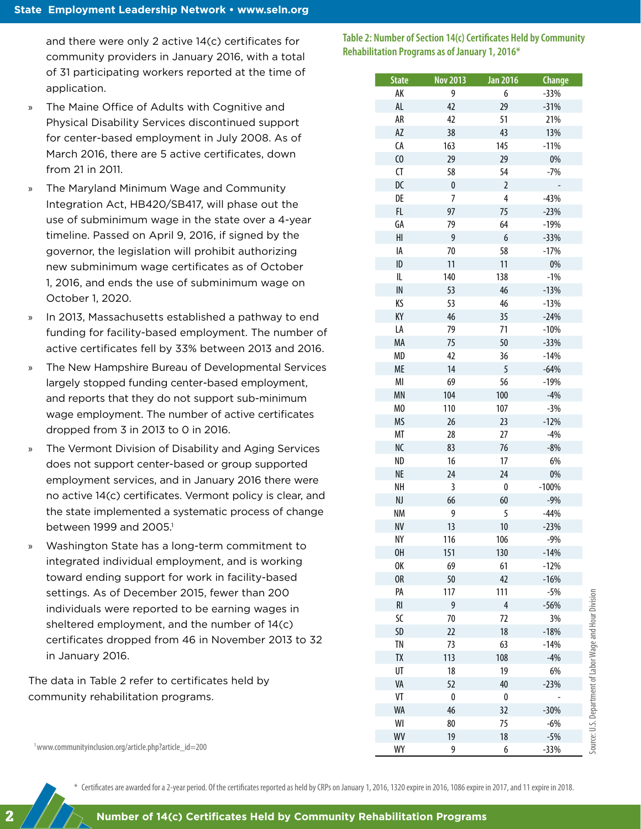and there were only 2 active 14(c) certificates for community providers in January 2016, with a total of 31 participating workers reported at the time of application.

- » The Maine Office of Adults with Cognitive and Physical Disability Services discontinued support for center-based employment in July 2008. As of March 2016, there are 5 active certificates, down from 21 in 2011.
- » The Maryland Minimum Wage and Community Integration Act, HB420/SB417, will phase out the use of subminimum wage in the state over a 4-year timeline. Passed on April 9, 2016, if signed by the governor, the legislation will prohibit authorizing new subminimum wage certificates as of October 1, 2016, and ends the use of subminimum wage on October 1, 2020.
- » In 2013, Massachusetts established a pathway to end funding for facility-based employment. The number of active certificates fell by 33% between 2013 and 2016.
- » The New Hampshire Bureau of Developmental Services largely stopped funding center-based employment, and reports that they do not support sub-minimum wage employment. The number of active certificates dropped from 3 in 2013 to 0 in 2016.
- » The Vermont Division of Disability and Aging Services does not support center-based or group supported employment services, and in January 2016 there were no active 14(c) certificates. Vermont policy is clear, and the state implemented a systematic process of change between 1999 and 2005.<sup>1</sup>
- » Washington State has a long-term commitment to integrated individual employment, and is working toward ending support for work in facility-based settings. As of December 2015, fewer than 200 individuals were reported to be earning wages in sheltered employment, and the number of 14(c) certificates dropped from 46 in November 2013 to 32 in January 2016.

The data in Table 2 refer to certificates held by community rehabilitation programs.

**Table 2: Number of Section 14(c) Certificates Held by Community Rehabilitation Programs as of January 1, 2016\***

| <b>State</b>   | <b>Nov 2013</b> | <b>Jan 2016</b> | <b>Change</b>   |
|----------------|-----------------|-----------------|-----------------|
| АK             | 9               | 6               | $-33%$          |
| AL             | 42              | 29              | $-31%$          |
| AR             | 42              | 51              | 21%             |
| AZ             | 38              | 43              | 13%             |
| CA             | 163             | 145             | $-11%$          |
| $\omega$       | 29              | 29              | 0%              |
| <b>CT</b>      | 58              | 54              | $-7%$           |
| DC             | $\pmb{0}$       | $\overline{2}$  |                 |
| DE             | $\overline{7}$  | 4               | $-43%$          |
| FL             | 97              | 75              | $-23%$          |
| GA             | 79              | 64              | $-19%$          |
| HI             | 9               | 6               | $-33%$          |
| IA             | 70              | 58              | $-17%$          |
| ID             | 11              | 11              | 0%              |
| IL             | 140             | 138             | $-1%$           |
| IN             | 53              | 46              | $-13%$          |
| ΚS             | 53              | 46              | $-13%$          |
| КY             | 46              | 35              | $-24%$          |
| LA             | 79              | 71              | $-10%$          |
| MA             | 75              | 50              | $-33%$          |
| MD             | 42              | 36              | $-14%$          |
| <b>ME</b>      | 14              | 5               | $-64%$          |
| MI             | 69              | 56              | $-19%$          |
| <b>MN</b>      | 104             | 100             | $-4%$           |
| M <sub>0</sub> | 110             | 107             | $-3%$           |
| MS             | 26              | 23              | $-12%$          |
| МT             | 28              | 27              | $-4%$           |
| NC             | 83              | 76              | $-8%$           |
| ND             | 16              | 17              | 6%              |
| <b>NE</b>      | 24              | 24              | $0\%$           |
| NΗ             | 3               | $\pmb{0}$       | $-100%$         |
| NJ             | 66              | 60              | $-9%$           |
| <b>NM</b>      | 9               | 5               | $-44%$          |
| <b>NV</b>      | 13              | 10              | $-23%$          |
| NΥ             | 116             | 106             | $-9%$           |
| 0H             | 151             | 130             | $-14%$          |
| 0K             | 69              | 61              | $-12%$          |
| 0R             | 50              | 42              |                 |
| PA             | 117             | 111             | $-16%$          |
| RI             | 9               | 4               | $-5%$<br>$-56%$ |
| SC             | 70              | 72              |                 |
|                |                 |                 | 3%              |
| SD             | 22              | 18              | $-18%$          |
| <b>TN</b>      | 73              | 63              | $-14%$          |
| TΧ             | 113             | 108             | $-4%$           |
| UT             | 18              | 19              | 6%              |
| VA             | 52              | 40              | $-23%$          |
| VT             | $\pmb{0}$       | 0               |                 |
| WA             | 46              | 32              | $-30%$          |
| WI             | 80              | 75              | $-6%$           |
| WV             | 19              | 18              | $-5%$           |
| WY             | 9               | 6               | $-33%$          |

Source: U.S. Department of Labor Wage and Hour Division

Source: U.S. Department of Labor Wage and Hour Division

1 www.communityinclusion.org/article.php?article\_id=200

2

\* Certificates are awarded for a 2-year period. Of the certificates reported as held by CRPs on January 1, 2016, 1320 expire in 2016, 1086 expire in 2017, and 11 expire in 2018.